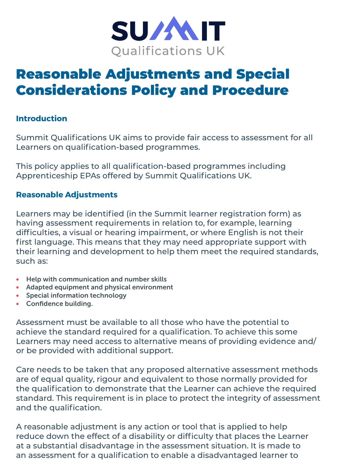

# Reasonable Adjustments and Special Considerations Policy and Procedure

### **Introduction**

Summit Qualifications UK aims to provide fair access to assessment for all Learners on qualification-based programmes.

This policy applies to all qualification-based programmes including Apprenticeship EPAs offered by Summit Qualifications UK.

#### **Reasonable Adjustments**

Learners may be identified (in the Summit learner registration form) as having assessment requirements in relation to, for example, learning difficulties, a visual or hearing impairment, or where English is not their first language. This means that they may need appropriate support with their learning and development to help them meet the required standards, such as:

- Help with communication and number skills
- • Adapted equipment and physical environment
- Special information technology
- • Confidence building.

Assessment must be available to all those who have the potential to achieve the standard required for a qualification. To achieve this some Learners may need access to alternative means of providing evidence and/ or be provided with additional support.

Care needs to be taken that any proposed alternative assessment methods are of equal quality, rigour and equivalent to those normally provided for the qualification to demonstrate that the Learner can achieve the required standard. This requirement is in place to protect the integrity of assessment and the qualification.

A reasonable adjustment is any action or tool that is applied to help reduce down the effect of a disability or difficulty that places the Learner at a substantial disadvantage in the assessment situation. It is made to an assessment for a qualification to enable a disadvantaged learner to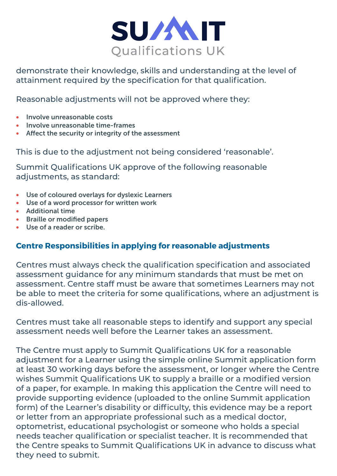

demonstrate their knowledge, skills and understanding at the level of attainment required by the specification for that qualification.

Reasonable adjustments will not be approved where they:

- Involve unreasonable costs
- Involve unreasonable time-frames
- • Affect the security or integrity of the assessment

This is due to the adjustment not being considered 'reasonable'.

Summit Qualifications UK approve of the following reasonable adiustments, as standard:

- • Use of coloured overlays for dyslexic Learners
- • Use of a word processor for written work
- • Additional time
- • Braille or modified papers
- Use of a reader or scribe.

### **Centre Responsibilities in applying for reasonable adjustments**

Centres must always check the qualification specification and associated assessment guidance for any minimum standards that must be met on assessment. Centre staff must be aware that sometimes Learners may not be able to meet the criteria for some qualifications, where an adjustment is dis-allowed.

Centres must take all reasonable steps to identify and support any special assessment needs well before the Learner takes an assessment.

The Centre must apply to Summit Qualifications UK for a reasonable adjustment for a Learner using the simple online Summit application form at least 30 working days before the assessment, or longer where the Centre wishes Summit Qualifications UK to supply a braille or a modified version of a paper, for example. In making this application the Centre will need to provide supporting evidence (uploaded to the online Summit application form) of the Learner's disability or difficulty, this evidence may be a report or letter from an appropriate professional such as a medical doctor, optometrist, educational psychologist or someone who holds a special needs teacher qualification or specialist teacher. It is recommended that the Centre speaks to Summit Qualifications UK in advance to discuss what they need to submit.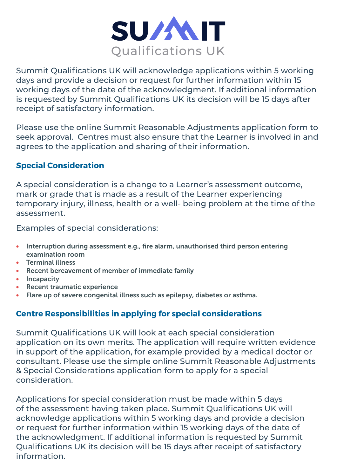

Summit Qualifications UK will acknowledge applications within 5 working days and provide a decision or request for further information within 15 working days of the date of the acknowledgment. If additional information is requested by Summit Qualifications UK its decision will be 15 days after receipt of satisfactory information.

Please use the online Summit Reasonable Adjustments application form to seek approval. Centres must also ensure that the Learner is involved in and agrees to the application and sharing of their information.

### **Special Consideration**

A special consideration is a change to a Learner's assessment outcome, mark or grade that is made as a result of the Learner experiencing temporary injury, illness, health or a well- being problem at the time of the assessment.

Examples of special considerations:

- Interruption during assessment e.g., fire alarm, unauthorised third person entering examination room
- • Terminal illness
- Recent bereavement of member of immediate family
- Incapacity
- • Recent traumatic experience
- Flare up of severe congenital illness such as epilepsy, diabetes or asthma.

## **Centre Responsibilities in applying for special considerations**

Summit Qualifications UK will look at each special consideration application on its own merits. The application will require written evidence in support of the application, for example provided by a medical doctor or consultant. Please use the simple online Summit Reasonable Adjustments & Special Considerations application form to apply for a special consideration.

Applications for special consideration must be made within 5 days of the assessment having taken place. Summit Qualifications UK will acknowledge applications within 5 working days and provide a decision or request for further information within 15 working days of the date of the acknowledgment. If additional information is requested by Summit Qualifications UK its decision will be 15 days after receipt of satisfactory information.